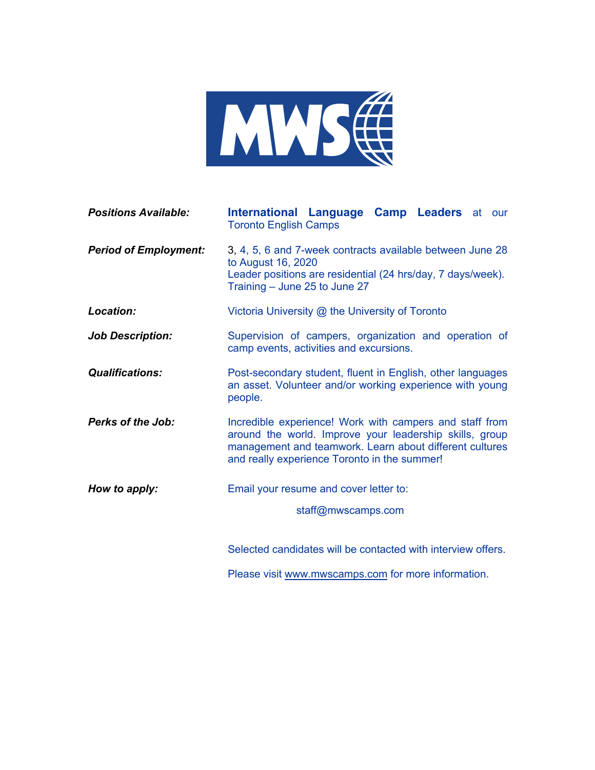

| <b>Positions Available:</b>  | International Language Camp Leaders at our<br><b>Toronto English Camps</b>                                                                                                                                                    |
|------------------------------|-------------------------------------------------------------------------------------------------------------------------------------------------------------------------------------------------------------------------------|
| <b>Period of Employment:</b> | 3, 4, 5, 6 and 7-week contracts available between June 28<br>to August 16, 2020<br>Leader positions are residential (24 hrs/day, 7 days/week).<br>Training - June 25 to June 27                                               |
| Location:                    | Victoria University @ the University of Toronto                                                                                                                                                                               |
| <b>Job Description:</b>      | Supervision of campers, organization and operation of<br>camp events, activities and excursions.                                                                                                                              |
| <b>Qualifications:</b>       | Post-secondary student, fluent in English, other languages<br>an asset. Volunteer and/or working experience with young<br>people.                                                                                             |
| <b>Perks of the Job:</b>     | Incredible experience! Work with campers and staff from<br>around the world. Improve your leadership skills, group<br>management and teamwork. Learn about different cultures<br>and really experience Toronto in the summer! |
| How to apply:                | Email your resume and cover letter to:                                                                                                                                                                                        |
|                              | staff@mwscamps.com                                                                                                                                                                                                            |
|                              | Selected candidates will be contacted with interview offers.                                                                                                                                                                  |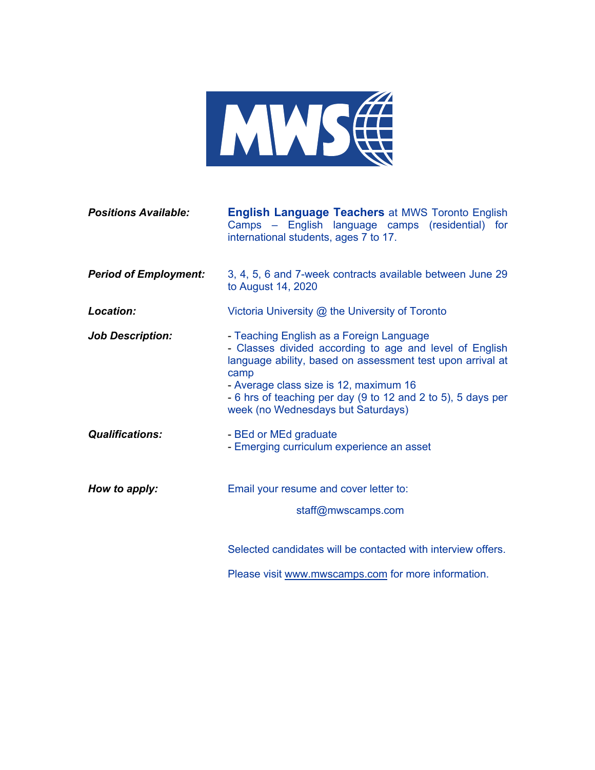

| <b>Positions Available:</b>  | <b>English Language Teachers at MWS Toronto English</b><br>Camps – English language camps (residential) for<br>international students, ages 7 to 17.                                                                                                                                                                      |
|------------------------------|---------------------------------------------------------------------------------------------------------------------------------------------------------------------------------------------------------------------------------------------------------------------------------------------------------------------------|
| <b>Period of Employment:</b> | 3, 4, 5, 6 and 7-week contracts available between June 29<br>to August 14, 2020                                                                                                                                                                                                                                           |
| Location:                    | Victoria University @ the University of Toronto                                                                                                                                                                                                                                                                           |
| <b>Job Description:</b>      | - Teaching English as a Foreign Language<br>- Classes divided according to age and level of English<br>language ability, based on assessment test upon arrival at<br>camp<br>- Average class size is 12, maximum 16<br>- 6 hrs of teaching per day (9 to 12 and 2 to 5), 5 days per<br>week (no Wednesdays but Saturdays) |
| <b>Qualifications:</b>       | - BEd or MEd graduate<br>- Emerging curriculum experience an asset                                                                                                                                                                                                                                                        |
| How to apply:                | Email your resume and cover letter to:<br>staff@mwscamps.com                                                                                                                                                                                                                                                              |
|                              | Selected candidates will be contacted with interview offers.                                                                                                                                                                                                                                                              |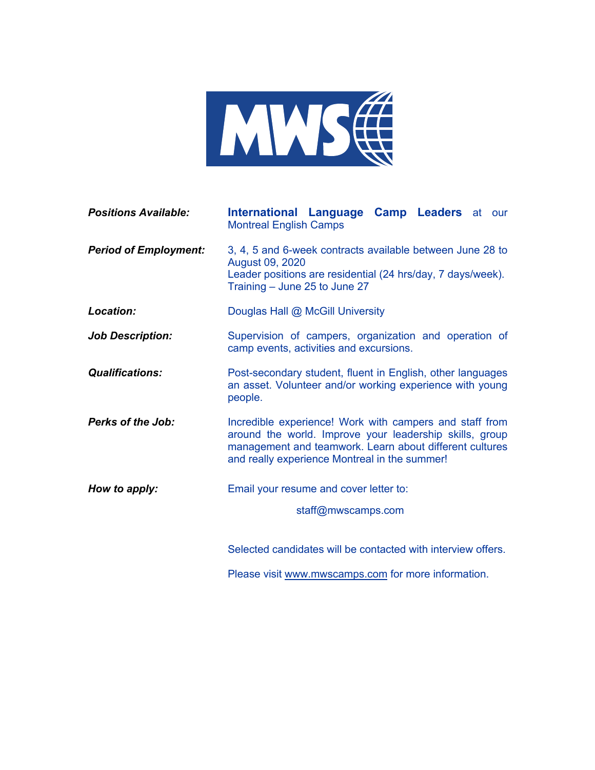

| <b>Positions Available:</b>  | International Language Camp Leaders at our<br><b>Montreal English Camps</b>                                                                                                                                                    |
|------------------------------|--------------------------------------------------------------------------------------------------------------------------------------------------------------------------------------------------------------------------------|
| <b>Period of Employment:</b> | 3, 4, 5 and 6-week contracts available between June 28 to<br><b>August 09, 2020</b><br>Leader positions are residential (24 hrs/day, 7 days/week).<br>Training - June 25 to June 27                                            |
| Location:                    | Douglas Hall @ McGill University                                                                                                                                                                                               |
| <b>Job Description:</b>      | Supervision of campers, organization and operation of<br>camp events, activities and excursions.                                                                                                                               |
| <b>Qualifications:</b>       | Post-secondary student, fluent in English, other languages<br>an asset. Volunteer and/or working experience with young<br>people.                                                                                              |
| <b>Perks of the Job:</b>     | Incredible experience! Work with campers and staff from<br>around the world. Improve your leadership skills, group<br>management and teamwork. Learn about different cultures<br>and really experience Montreal in the summer! |
| How to apply:                | Email your resume and cover letter to:                                                                                                                                                                                         |
|                              | staff@mwscamps.com                                                                                                                                                                                                             |
|                              | Selected candidates will be contacted with interview offers.                                                                                                                                                                   |